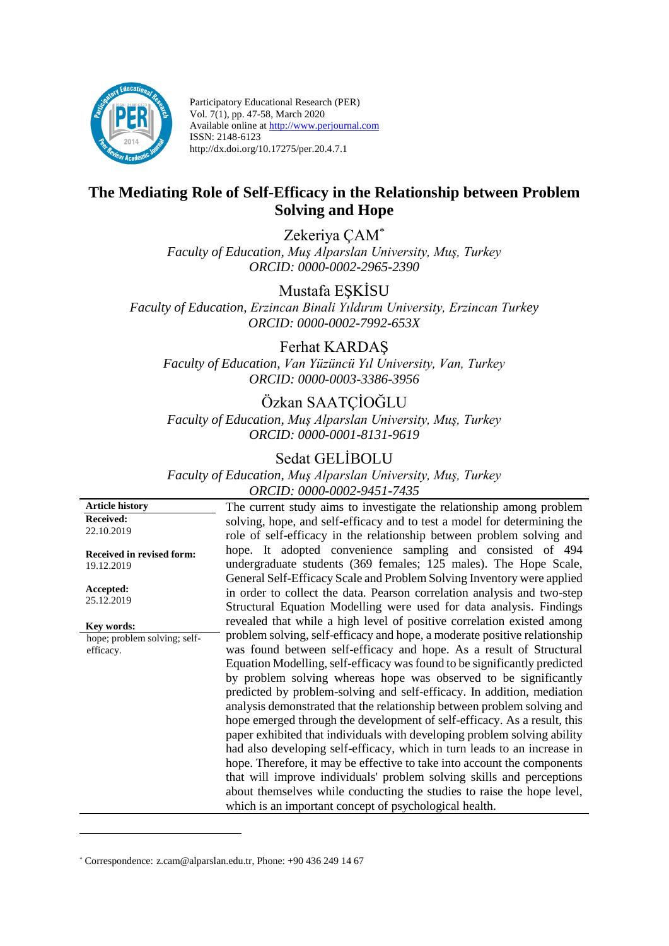

Participatory Educational Research (PER) Vol. 7(1), pp. 47-58, March 2020 Available online at http://www.perjournal.com ISSN: 2148-6123 http://dx.doi.org/10.17275/per.20.4.7.1

# **The Mediating Role of Self-Efficacy in the Relationship between Problem Solving and Hope**

Zekeriya ÇAM\* *Faculty of Education, Muş Alparslan University, Muş, Turkey ORCID: 0000-0002-2965-2390* 

Mustafa EŞKİSU *Faculty of Education, Erzincan Binali Yıldırım University, Erzincan Turkey ORCID: 0000-0002-7992-653X* 

Ferhat KARDAŞ

*Faculty of Education, Van Yüzüncü Yıl University, Van, Turkey ORCID: 0000-0003-3386-3956*

# Özkan SAATÇİOĞLU

*Faculty of Education, Muş Alparslan University, Muş, Turkey ORCID: 0000-0001-8131-9619*

# Sedat GELİBOLU

*Faculty of Education, Muş Alparslan University, Muş, Turkey ORCID: 0000-0002-9451-7435*

**Article history Received:**  22.10.2019

**Received in revised form:**  19.12.2019

**Accepted:** 25.12.2019

<u>.</u>

**Key words:**

hope; problem solving; selfefficacy.

The current study aims to investigate the relationship among problem solving, hope, and self-efficacy and to test a model for determining the role of self-efficacy in the relationship between problem solving and hope. It adopted convenience sampling and consisted of 494 undergraduate students (369 females; 125 males). The Hope Scale, General Self-Efficacy Scale and Problem Solving Inventory were applied in order to collect the data. Pearson correlation analysis and two-step Structural Equation Modelling were used for data analysis. Findings revealed that while a high level of positive correlation existed among problem solving, self-efficacy and hope, a moderate positive relationship was found between self-efficacy and hope. As a result of Structural Equation Modelling, self-efficacy was found to be significantly predicted by problem solving whereas hope was observed to be significantly predicted by problem-solving and self-efficacy. In addition, mediation analysis demonstrated that the relationship between problem solving and hope emerged through the development of self-efficacy. As a result, this paper exhibited that individuals with developing problem solving ability had also developing self-efficacy, which in turn leads to an increase in hope. Therefore, it may be effective to take into account the components that will improve individuals' problem solving skills and perceptions about themselves while conducting the studies to raise the hope level, which is an important concept of psychological health.

<sup>\*</sup> Correspondence: [z.cam@alparslan.edu.tr,](mailto:z.cam@alparslan.edu.tr) Phone: +90 436 249 14 67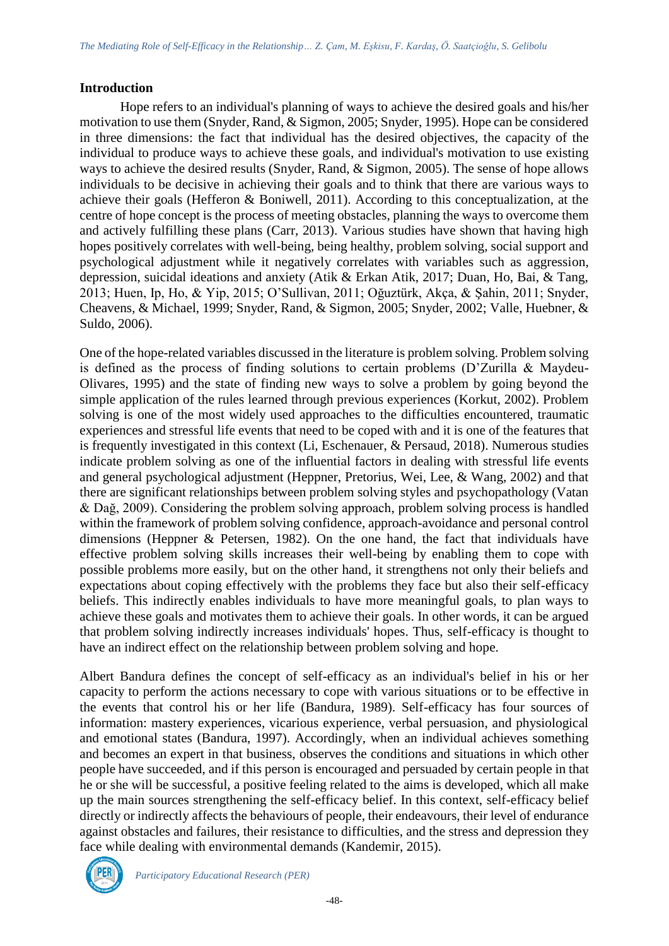# **Introduction**

Hope refers to an individual's planning of ways to achieve the desired goals and his/her motivation to use them (Snyder, Rand, & Sigmon, 2005; Snyder, 1995). Hope can be considered in three dimensions: the fact that individual has the desired objectives, the capacity of the individual to produce ways to achieve these goals, and individual's motivation to use existing ways to achieve the desired results (Snyder, Rand, & Sigmon, 2005). The sense of hope allows individuals to be decisive in achieving their goals and to think that there are various ways to achieve their goals (Hefferon & Boniwell, 2011). According to this conceptualization, at the centre of hope concept is the process of meeting obstacles, planning the ways to overcome them and actively fulfilling these plans (Carr, 2013). Various studies have shown that having high hopes positively correlates with well-being, being healthy, problem solving, social support and psychological adjustment while it negatively correlates with variables such as aggression, depression, suicidal ideations and anxiety (Atik & Erkan Atik, 2017; Duan, Ho, Bai, & Tang, 2013; Huen, Ip, Ho, & Yip, 2015; O'Sullivan, 2011; Oğuztürk, Akça, & Şahin, 2011; Snyder, Cheavens, & Michael, 1999; Snyder, Rand, & Sigmon, 2005; Snyder, 2002; Valle, Huebner, & Suldo, 2006).

One of the hope-related variables discussed in the literature is problem solving. Problem solving is defined as the process of finding solutions to certain problems (D'Zurilla & Maydeu-Olivares, 1995) and the state of finding new ways to solve a problem by going beyond the simple application of the rules learned through previous experiences (Korkut, 2002). Problem solving is one of the most widely used approaches to the difficulties encountered, traumatic experiences and stressful life events that need to be coped with and it is one of the features that is frequently investigated in this context (Li, Eschenauer, & Persaud, 2018). Numerous studies indicate problem solving as one of the influential factors in dealing with stressful life events and general psychological adjustment (Heppner, Pretorius, Wei, Lee, & Wang, 2002) and that there are significant relationships between problem solving styles and psychopathology (Vatan & Dağ, 2009). Considering the problem solving approach, problem solving process is handled within the framework of problem solving confidence, approach-avoidance and personal control dimensions (Heppner & Petersen, 1982). On the one hand, the fact that individuals have effective problem solving skills increases their well-being by enabling them to cope with possible problems more easily, but on the other hand, it strengthens not only their beliefs and expectations about coping effectively with the problems they face but also their self-efficacy beliefs. This indirectly enables individuals to have more meaningful goals, to plan ways to achieve these goals and motivates them to achieve their goals. In other words, it can be argued that problem solving indirectly increases individuals' hopes. Thus, self-efficacy is thought to have an indirect effect on the relationship between problem solving and hope.

Albert Bandura defines the concept of self-efficacy as an individual's belief in his or her capacity to perform the actions necessary to cope with various situations or to be effective in the events that control his or her life (Bandura, 1989). Self-efficacy has four sources of information: mastery experiences, vicarious experience, verbal persuasion, and physiological and emotional states (Bandura, 1997). Accordingly, when an individual achieves something and becomes an expert in that business, observes the conditions and situations in which other people have succeeded, and if this person is encouraged and persuaded by certain people in that he or she will be successful, a positive feeling related to the aims is developed, which all make up the main sources strengthening the self-efficacy belief. In this context, self-efficacy belief directly or indirectly affects the behaviours of people, their endeavours, their level of endurance against obstacles and failures, their resistance to difficulties, and the stress and depression they face while dealing with environmental demands (Kandemir, 2015).

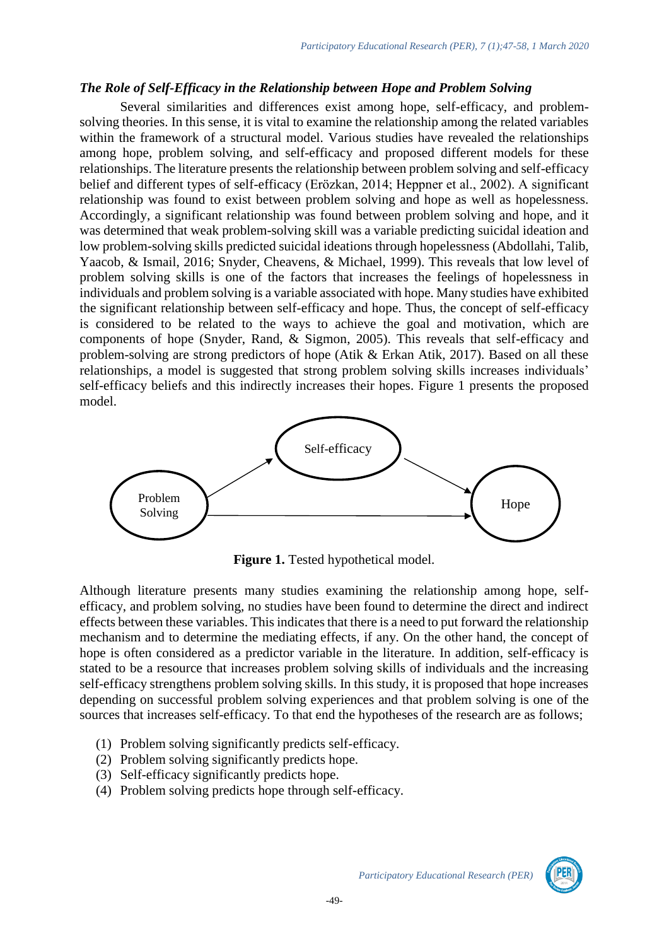#### *The Role of Self-Efficacy in the Relationship between Hope and Problem Solving*

Several similarities and differences exist among hope, self-efficacy, and problemsolving theories. In this sense, it is vital to examine the relationship among the related variables within the framework of a structural model. Various studies have revealed the relationships among hope, problem solving, and self-efficacy and proposed different models for these relationships. The literature presents the relationship between problem solving and self-efficacy belief and different types of self-efficacy (Erözkan, 2014; Heppner et al., 2002). A significant relationship was found to exist between problem solving and hope as well as hopelessness. Accordingly, a significant relationship was found between problem solving and hope, and it was determined that weak problem-solving skill was a variable predicting suicidal ideation and low problem-solving skills predicted suicidal ideations through hopelessness (Abdollahi, Talib, Yaacob, & Ismail, 2016; Snyder, Cheavens, & Michael, 1999). This reveals that low level of problem solving skills is one of the factors that increases the feelings of hopelessness in individuals and problem solving is a variable associated with hope. Many studies have exhibited the significant relationship between self-efficacy and hope. Thus, the concept of self-efficacy is considered to be related to the ways to achieve the goal and motivation, which are components of hope (Snyder, Rand, & Sigmon, 2005). This reveals that self-efficacy and problem-solving are strong predictors of hope (Atik & Erkan Atik, 2017). Based on all these relationships, a model is suggested that strong problem solving skills increases individuals' self-efficacy beliefs and this indirectly increases their hopes. Figure 1 presents the proposed model.



**Figure 1.** Tested hypothetical model.

Although literature presents many studies examining the relationship among hope, selfefficacy, and problem solving, no studies have been found to determine the direct and indirect effects between these variables. This indicates that there is a need to put forward the relationship mechanism and to determine the mediating effects, if any. On the other hand, the concept of hope is often considered as a predictor variable in the literature. In addition, self-efficacy is stated to be a resource that increases problem solving skills of individuals and the increasing self-efficacy strengthens problem solving skills. In this study, it is proposed that hope increases depending on successful problem solving experiences and that problem solving is one of the sources that increases self-efficacy. To that end the hypotheses of the research are as follows;

- (1) Problem solving significantly predicts self-efficacy.
- (2) Problem solving significantly predicts hope.
- (3) Self-efficacy significantly predicts hope.
- (4) Problem solving predicts hope through self-efficacy.

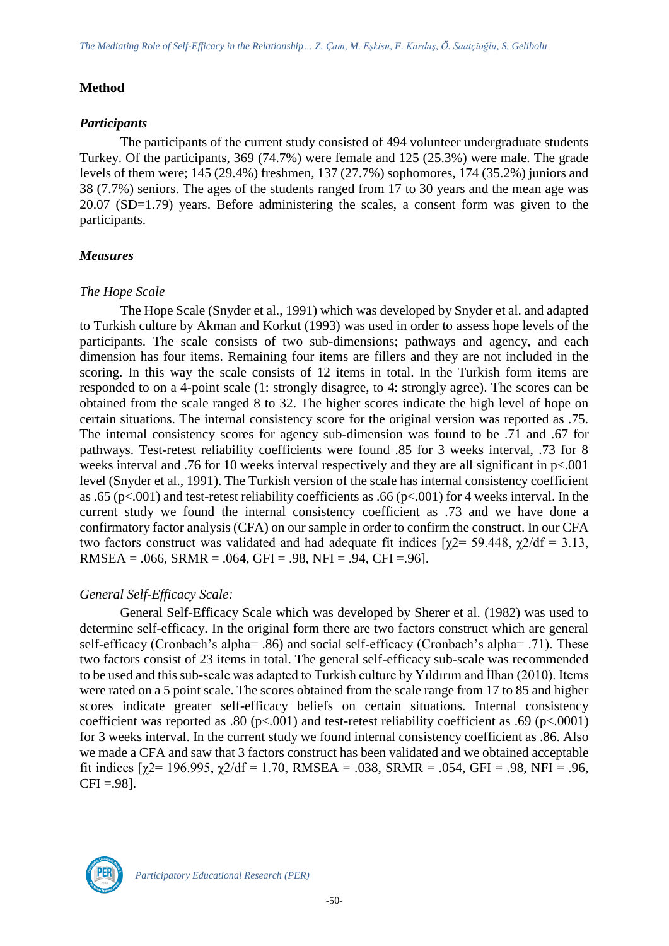# **Method**

# *Participants*

The participants of the current study consisted of 494 volunteer undergraduate students Turkey. Of the participants, 369 (74.7%) were female and 125 (25.3%) were male. The grade levels of them were; 145 (29.4%) freshmen, 137 (27.7%) sophomores, 174 (35.2%) juniors and 38 (7.7%) seniors. The ages of the students ranged from 17 to 30 years and the mean age was 20.07 (SD=1.79) years. Before administering the scales, a consent form was given to the participants.

# *Measures*

# *The Hope Scale*

The Hope Scale (Snyder et al., 1991) which was developed by Snyder et al. and adapted to Turkish culture by Akman and Korkut (1993) was used in order to assess hope levels of the participants. The scale consists of two sub-dimensions; pathways and agency, and each dimension has four items. Remaining four items are fillers and they are not included in the scoring. In this way the scale consists of 12 items in total. In the Turkish form items are responded to on a 4-point scale (1: strongly disagree, to 4: strongly agree). The scores can be obtained from the scale ranged 8 to 32. The higher scores indicate the high level of hope on certain situations. The internal consistency score for the original version was reported as .75. The internal consistency scores for agency sub-dimension was found to be .71 and .67 for pathways. Test-retest reliability coefficients were found .85 for 3 weeks interval, .73 for 8 weeks interval and .76 for 10 weeks interval respectively and they are all significant in p<.001 level (Snyder et al., 1991). The Turkish version of the scale has internal consistency coefficient as .65 (p<.001) and test-retest reliability coefficients as .66 (p<.001) for 4 weeks interval. In the current study we found the internal consistency coefficient as .73 and we have done a confirmatory factor analysis (CFA) on our sample in order to confirm the construct. In our CFA two factors construct was validated and had adequate fit indices  $[\chi$ 2= 59.448,  $\chi$ 2/df = 3.13, RMSEA =  $.066$ , SRMR =  $.064$ , GFI =  $.98$ , NFI =  $.94$ , CFI =  $.96$ ].

# *General Self-Efficacy Scale:*

General Self-Efficacy Scale which was developed by Sherer et al. (1982) was used to determine self-efficacy. In the original form there are two factors construct which are general self-efficacy (Cronbach's alpha= .86) and social self-efficacy (Cronbach's alpha= .71). These two factors consist of 23 items in total. The general self-efficacy sub-scale was recommended to be used and this sub-scale was adapted to Turkish culture by Yıldırım and İlhan (2010). Items were rated on a 5 point scale. The scores obtained from the scale range from 17 to 85 and higher scores indicate greater self-efficacy beliefs on certain situations. Internal consistency coefficient was reported as .80 ( $p<.001$ ) and test-retest reliability coefficient as .69 ( $p<.0001$ ) for 3 weeks interval. In the current study we found internal consistency coefficient as .86. Also we made a CFA and saw that 3 factors construct has been validated and we obtained acceptable fit indices  $[\gamma2 = 196.995, \gamma2/df = 1.70, RMSEA = .038, SRMR = .054, GFI = .98, NFI = .96,$  $CFI = .98$ ].

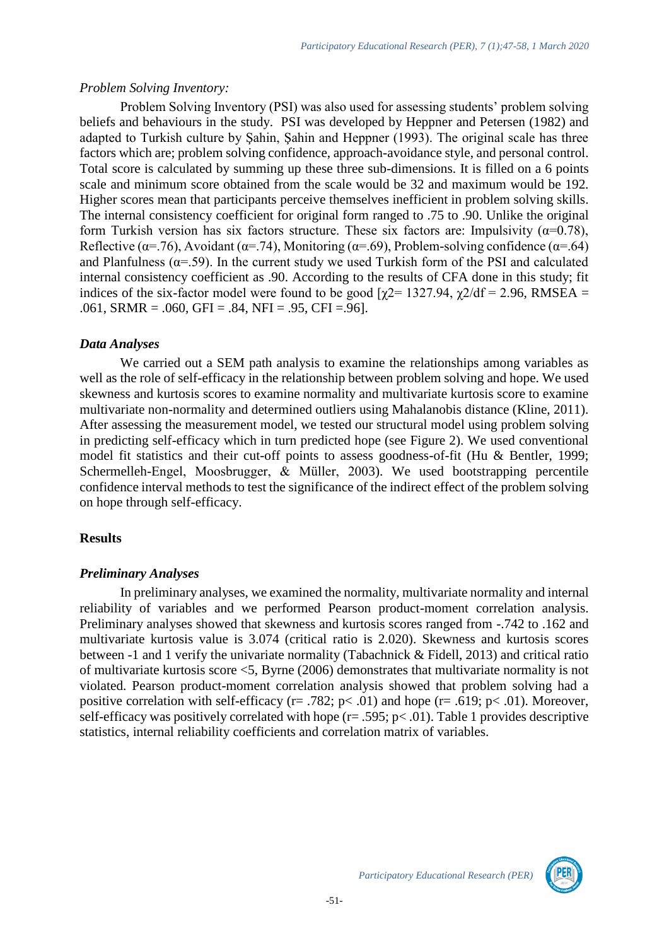#### *Problem Solving Inventory:*

Problem Solving Inventory (PSI) was also used for assessing students' problem solving beliefs and behaviours in the study. PSI was developed by Heppner and Petersen (1982) and adapted to Turkish culture by Şahin, Şahin and Heppner (1993). The original scale has three factors which are; problem solving confidence, approach-avoidance style, and personal control. Total score is calculated by summing up these three sub-dimensions. It is filled on a 6 points scale and minimum score obtained from the scale would be 32 and maximum would be 192. Higher scores mean that participants perceive themselves inefficient in problem solving skills. The internal consistency coefficient for original form ranged to .75 to .90. Unlike the original form Turkish version has six factors structure. These six factors are: Impulsivity ( $\alpha$ =0.78), Reflective ( $\alpha$ =.76), Avoidant ( $\alpha$ =.74), Monitoring ( $\alpha$ =.69), Problem-solving confidence ( $\alpha$ =.64) and Planfulness ( $\alpha$ =.59). In the current study we used Turkish form of the PSI and calculated internal consistency coefficient as .90. According to the results of CFA done in this study; fit indices of the six-factor model were found to be good  $[\gamma2=1327.94, \gamma2/df=2.96, RMSEA=$ .061, SRMR = .060, GFI = .84, NFI = .95, CFI = .96].

#### *Data Analyses*

We carried out a SEM path analysis to examine the relationships among variables as well as the role of self-efficacy in the relationship between problem solving and hope. We used skewness and kurtosis scores to examine normality and multivariate kurtosis score to examine multivariate non-normality and determined outliers using Mahalanobis distance (Kline, 2011). After assessing the measurement model, we tested our structural model using problem solving in predicting self-efficacy which in turn predicted hope (see Figure 2). We used conventional model fit statistics and their cut-off points to assess goodness-of-fit (Hu & Bentler, 1999; Schermelleh-Engel, Moosbrugger, & Müller, 2003). We used bootstrapping percentile confidence interval methods to test the significance of the indirect effect of the problem solving on hope through self-efficacy.

# **Results**

# *Preliminary Analyses*

In preliminary analyses, we examined the normality, multivariate normality and internal reliability of variables and we performed Pearson product-moment correlation analysis. Preliminary analyses showed that skewness and kurtosis scores ranged from -.742 to .162 and multivariate kurtosis value is 3.074 (critical ratio is 2.020). Skewness and kurtosis scores between -1 and 1 verify the univariate normality (Tabachnick & Fidell, 2013) and critical ratio of multivariate kurtosis score <5, Byrne (2006) demonstrates that multivariate normality is not violated. Pearson product-moment correlation analysis showed that problem solving had a positive correlation with self-efficacy ( $r = .782$ ;  $p < .01$ ) and hope ( $r = .619$ ;  $p < .01$ ). Moreover, self-efficacy was positively correlated with hope  $(r=.595; p<.01)$ . Table 1 provides descriptive statistics, internal reliability coefficients and correlation matrix of variables.

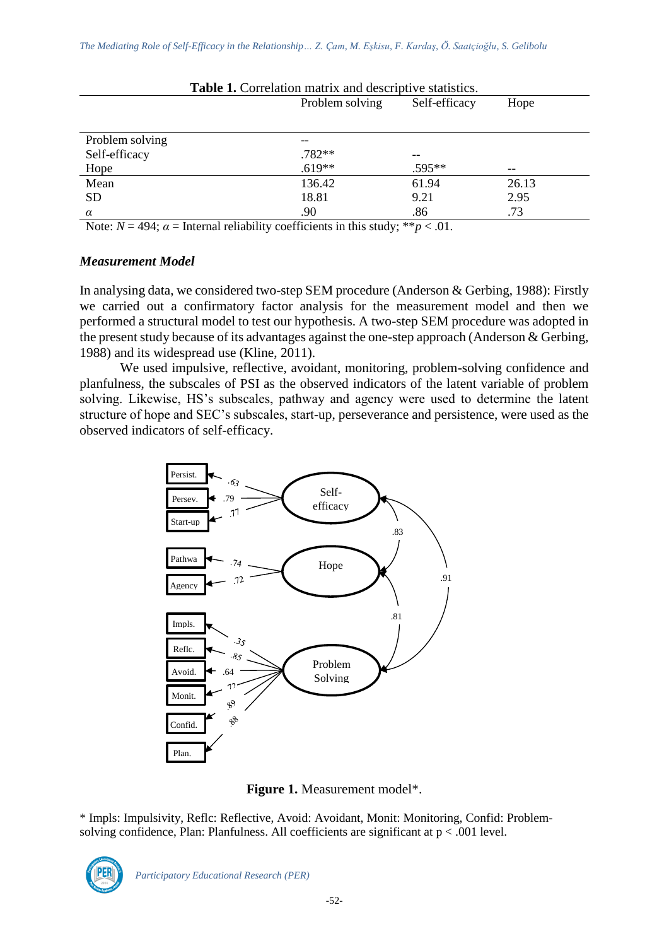|                 | Problem solving<br>Self-efficacy |        | Hope  |
|-----------------|----------------------------------|--------|-------|
|                 |                                  |        |       |
| Problem solving |                                  |        |       |
| Self-efficacy   | .782**                           | --     |       |
| Hope            | $.619**$                         | .595** | --    |
| Mean            | 136.42                           | 61.94  | 26.13 |
| <b>SD</b>       | 18.81                            | 9.21   | 2.95  |
| $\alpha$        | .90                              | .86    | .73   |

**Table 1.** Correlation matrix and descriptive statistics.

Note:  $N = 494$ ;  $\alpha =$  Internal reliability coefficients in this study; \*\* $p < .01$ .

# *Measurement Model*

In analysing data, we considered two-step SEM procedure (Anderson & Gerbing, 1988): Firstly we carried out a confirmatory factor analysis for the measurement model and then we performed a structural model to test our hypothesis. A two-step SEM procedure was adopted in the present study because of its advantages against the one-step approach (Anderson & Gerbing, 1988) and its widespread use (Kline, 2011).

We used impulsive, reflective, avoidant, monitoring, problem-solving confidence and planfulness, the subscales of PSI as the observed indicators of the latent variable of problem solving. Likewise, HS's subscales, pathway and agency were used to determine the latent structure of hope and SEC's subscales, start-up, perseverance and persistence, were used as the observed indicators of self-efficacy.



**Figure 1.** Measurement model\*.

\* Impls: Impulsivity, Reflc: Reflective, Avoid: Avoidant, Monit: Monitoring, Confid: Problemsolving confidence, Plan: Planfulness. All coefficients are significant at p < .001 level.

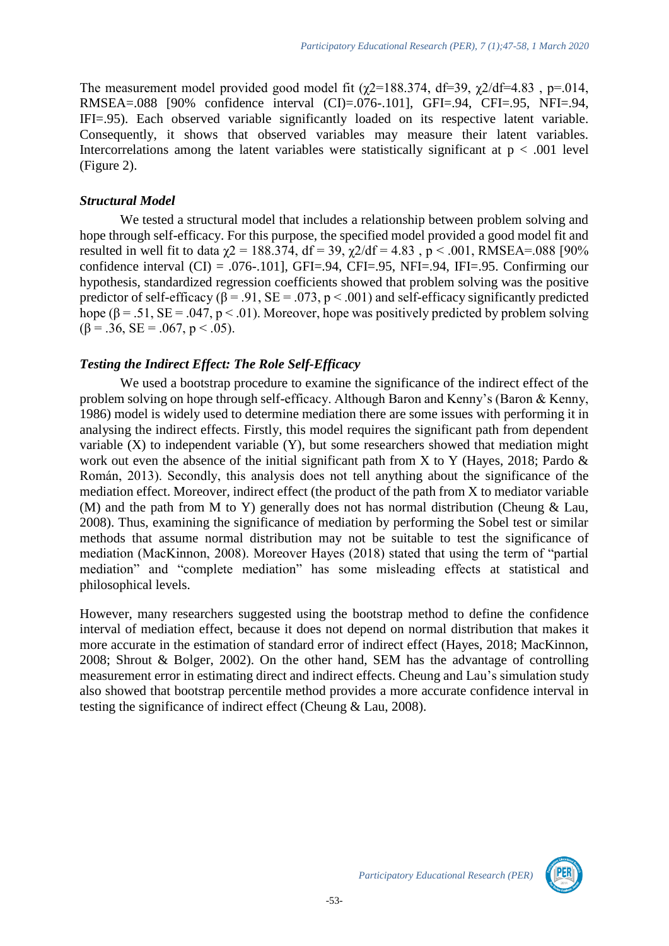The measurement model provided good model fit ( $\chi$ 2=188.374, df=39,  $\chi$ 2/df=4.83, p=.014, RMSEA=.088 [90% confidence interval (CI)=.076-.101], GFI=.94, CFI=.95, NFI=.94, IFI=.95). Each observed variable significantly loaded on its respective latent variable. Consequently, it shows that observed variables may measure their latent variables. Intercorrelations among the latent variables were statistically significant at  $p < .001$  level (Figure 2).

# *Structural Model*

We tested a structural model that includes a relationship between problem solving and hope through self-efficacy. For this purpose, the specified model provided a good model fit and resulted in well fit to data  $χ2 = 188.374$ , df = 39,  $χ2/df = 4.83$ , p < .001, RMSEA=.088 [90% confidence interval  $(CI) = .076-.101$ , GFI=.94, CFI=.95, NFI=.94, IFI=.95. Confirming our hypothesis, standardized regression coefficients showed that problem solving was the positive predictor of self-efficacy ( $\beta$  = .91, SE = .073, p < .001) and self-efficacy significantly predicted hope ( $\beta$  = .51, SE = .047, p < .01). Moreover, hope was positively predicted by problem solving  $(\beta = .36, SE = .067, p < .05).$ 

# *Testing the Indirect Effect: The Role Self-Efficacy*

We used a bootstrap procedure to examine the significance of the indirect effect of the problem solving on hope through self-efficacy. Although Baron and Kenny's (Baron & Kenny, 1986) model is widely used to determine mediation there are some issues with performing it in analysing the indirect effects. Firstly, this model requires the significant path from dependent variable (X) to independent variable (Y), but some researchers showed that mediation might work out even the absence of the initial significant path from X to Y (Hayes, 2018; Pardo & Román, 2013). Secondly, this analysis does not tell anything about the significance of the mediation effect. Moreover, indirect effect (the product of the path from X to mediator variable (M) and the path from M to Y) generally does not has normal distribution (Cheung & Lau, 2008). Thus, examining the significance of mediation by performing the Sobel test or similar methods that assume normal distribution may not be suitable to test the significance of mediation (MacKinnon, 2008). Moreover Hayes (2018) stated that using the term of "partial mediation" and "complete mediation" has some misleading effects at statistical and philosophical levels.

However, many researchers suggested using the bootstrap method to define the confidence interval of mediation effect, because it does not depend on normal distribution that makes it more accurate in the estimation of standard error of indirect effect (Hayes, 2018; MacKinnon, 2008; Shrout & Bolger, 2002). On the other hand, SEM has the advantage of controlling measurement error in estimating direct and indirect effects. Cheung and Lau's simulation study also showed that bootstrap percentile method provides a more accurate confidence interval in testing the significance of indirect effect (Cheung & Lau, 2008).

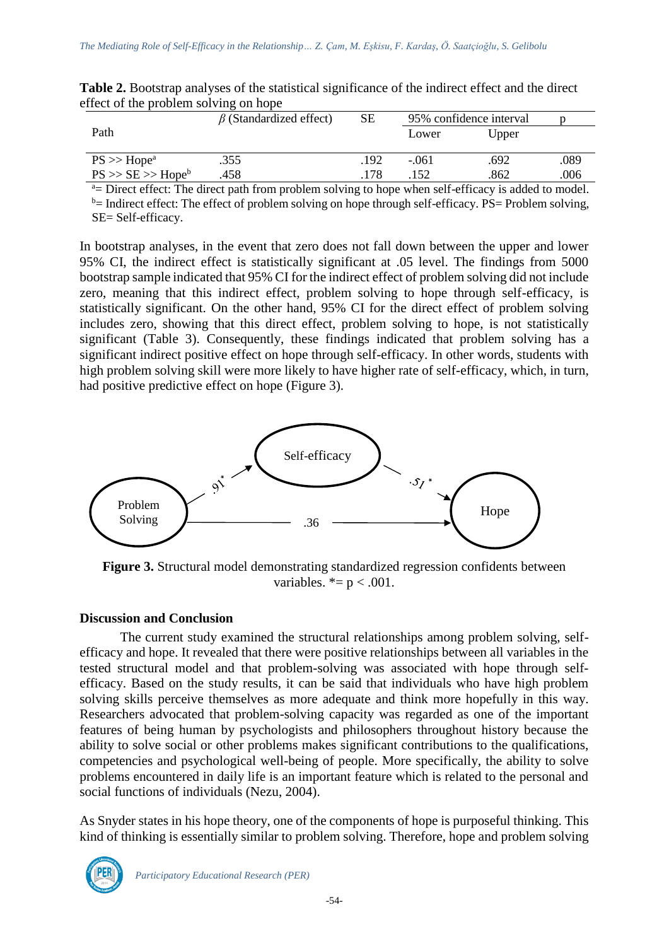|                                                                                                    | $\beta$ (Standardized effect) | SЕ  | 95% confidence interval |       |      |  |
|----------------------------------------------------------------------------------------------------|-------------------------------|-----|-------------------------|-------|------|--|
| Path                                                                                               |                               |     | Lower                   | Upper |      |  |
|                                                                                                    |                               |     |                         |       |      |  |
| $PS \gg Hope^a$                                                                                    | .355                          | 192 | $-.061$                 | .692  | .089 |  |
| $PS \gg SE \gg Hope^b$                                                                             | .458                          | 178 | .152                    | .862  | .006 |  |
| a Direct offect: The direct noth from problem solving to hang when solf officear is added to model |                               |     |                         |       |      |  |

**Table 2.** Bootstrap analyses of the statistical significance of the indirect effect and the direct effect of the problem solving on hope

 $a=$  Direct effect: The direct path from problem solving to hope when self-efficacy is added to model.  $b=$  Indirect effect: The effect of problem solving on hope through self-efficacy. PS= Problem solving, SE= Self-efficacy.

In bootstrap analyses, in the event that zero does not fall down between the upper and lower 95% CI, the indirect effect is statistically significant at .05 level. The findings from 5000 bootstrap sample indicated that 95% CI for the indirect effect of problem solving did not include zero, meaning that this indirect effect, problem solving to hope through self-efficacy, is statistically significant. On the other hand, 95% CI for the direct effect of problem solving includes zero, showing that this direct effect, problem solving to hope, is not statistically significant (Table 3). Consequently, these findings indicated that problem solving has a significant indirect positive effect on hope through self-efficacy. In other words, students with high problem solving skill were more likely to have higher rate of self-efficacy, which, in turn, had positive predictive effect on hope (Figure 3).



**Figure 3.** Structural model demonstrating standardized regression confidents between variables.  $* = p < .001$ .

# **Discussion and Conclusion**

The current study examined the structural relationships among problem solving, selfefficacy and hope. It revealed that there were positive relationships between all variables in the tested structural model and that problem-solving was associated with hope through selfefficacy. Based on the study results, it can be said that individuals who have high problem solving skills perceive themselves as more adequate and think more hopefully in this way. Researchers advocated that problem-solving capacity was regarded as one of the important features of being human by psychologists and philosophers throughout history because the ability to solve social or other problems makes significant contributions to the qualifications, competencies and psychological well-being of people. More specifically, the ability to solve problems encountered in daily life is an important feature which is related to the personal and social functions of individuals (Nezu, 2004).

As Snyder states in his hope theory, one of the components of hope is purposeful thinking. This kind of thinking is essentially similar to problem solving. Therefore, hope and problem solving

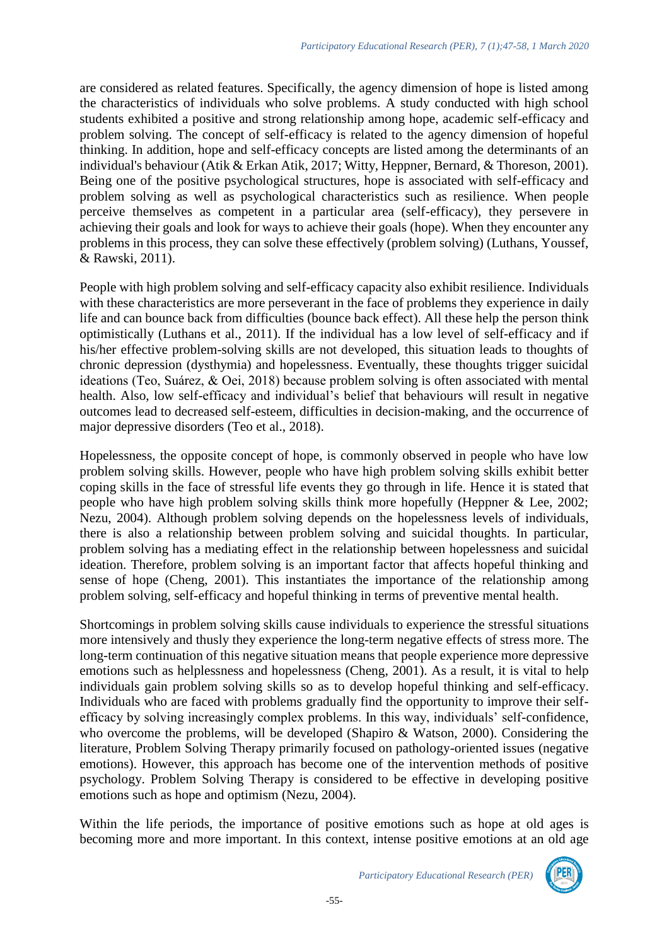are considered as related features. Specifically, the agency dimension of hope is listed among the characteristics of individuals who solve problems. A study conducted with high school students exhibited a positive and strong relationship among hope, academic self-efficacy and problem solving. The concept of self-efficacy is related to the agency dimension of hopeful thinking. In addition, hope and self-efficacy concepts are listed among the determinants of an individual's behaviour (Atik & Erkan Atik, 2017; Witty, Heppner, Bernard, & Thoreson, 2001). Being one of the positive psychological structures, hope is associated with self-efficacy and problem solving as well as psychological characteristics such as resilience. When people perceive themselves as competent in a particular area (self-efficacy), they persevere in achieving their goals and look for ways to achieve their goals (hope). When they encounter any problems in this process, they can solve these effectively (problem solving) (Luthans, Youssef, & Rawski, 2011).

People with high problem solving and self-efficacy capacity also exhibit resilience. Individuals with these characteristics are more perseverant in the face of problems they experience in daily life and can bounce back from difficulties (bounce back effect). All these help the person think optimistically (Luthans et al., 2011). If the individual has a low level of self-efficacy and if his/her effective problem-solving skills are not developed, this situation leads to thoughts of chronic depression (dysthymia) and hopelessness. Eventually, these thoughts trigger suicidal ideations (Teo, Suárez, & Oei, 2018) because problem solving is often associated with mental health. Also, low self-efficacy and individual's belief that behaviours will result in negative outcomes lead to decreased self-esteem, difficulties in decision-making, and the occurrence of major depressive disorders (Teo et al., 2018).

Hopelessness, the opposite concept of hope, is commonly observed in people who have low problem solving skills. However, people who have high problem solving skills exhibit better coping skills in the face of stressful life events they go through in life. Hence it is stated that people who have high problem solving skills think more hopefully (Heppner & Lee, 2002; Nezu, 2004). Although problem solving depends on the hopelessness levels of individuals, there is also a relationship between problem solving and suicidal thoughts. In particular, problem solving has a mediating effect in the relationship between hopelessness and suicidal ideation. Therefore, problem solving is an important factor that affects hopeful thinking and sense of hope (Cheng, 2001). This instantiates the importance of the relationship among problem solving, self-efficacy and hopeful thinking in terms of preventive mental health.

Shortcomings in problem solving skills cause individuals to experience the stressful situations more intensively and thusly they experience the long-term negative effects of stress more. The long-term continuation of this negative situation means that people experience more depressive emotions such as helplessness and hopelessness (Cheng, 2001). As a result, it is vital to help individuals gain problem solving skills so as to develop hopeful thinking and self-efficacy. Individuals who are faced with problems gradually find the opportunity to improve their selfefficacy by solving increasingly complex problems. In this way, individuals' self-confidence, who overcome the problems, will be developed (Shapiro & Watson, 2000). Considering the literature, Problem Solving Therapy primarily focused on pathology-oriented issues (negative emotions). However, this approach has become one of the intervention methods of positive psychology. Problem Solving Therapy is considered to be effective in developing positive emotions such as hope and optimism (Nezu, 2004).

Within the life periods, the importance of positive emotions such as hope at old ages is becoming more and more important. In this context, intense positive emotions at an old age

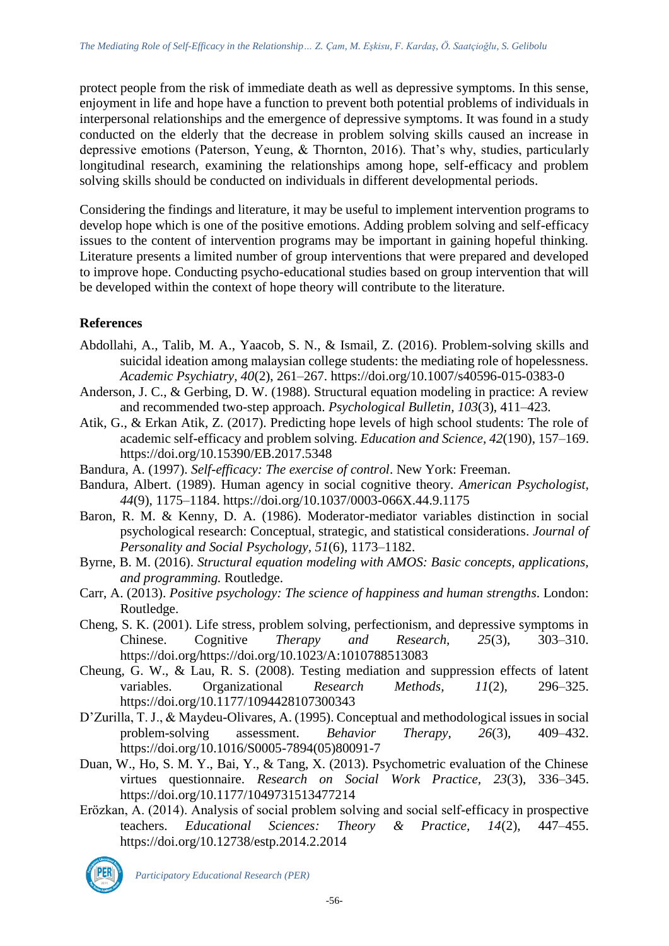protect people from the risk of immediate death as well as depressive symptoms. In this sense, enjoyment in life and hope have a function to prevent both potential problems of individuals in interpersonal relationships and the emergence of depressive symptoms. It was found in a study conducted on the elderly that the decrease in problem solving skills caused an increase in depressive emotions (Paterson, Yeung, & Thornton, 2016). That's why, studies, particularly longitudinal research, examining the relationships among hope, self-efficacy and problem solving skills should be conducted on individuals in different developmental periods.

Considering the findings and literature, it may be useful to implement intervention programs to develop hope which is one of the positive emotions. Adding problem solving and self-efficacy issues to the content of intervention programs may be important in gaining hopeful thinking. Literature presents a limited number of group interventions that were prepared and developed to improve hope. Conducting psycho-educational studies based on group intervention that will be developed within the context of hope theory will contribute to the literature.

# **References**

- Abdollahi, A., Talib, M. A., Yaacob, S. N., & Ismail, Z. (2016). Problem-solving skills and suicidal ideation among malaysian college students: the mediating role of hopelessness. *Academic Psychiatry, 40*(2), 261–267. https://doi.org/10.1007/s40596-015-0383-0
- Anderson, J. C., & Gerbing, D. W. (1988). Structural equation modeling in practice: A review and recommended two-step approach. *Psychological Bulletin, 103*(3), 411–423.
- Atik, G., & Erkan Atik, Z. (2017). Predicting hope levels of high school students: The role of academic self-efficacy and problem solving. *Education and Science, 42*(190), 157–169. https://doi.org/10.15390/EB.2017.5348
- Bandura, A. (1997). *Self-efficacy: The exercise of control*. New York: Freeman.
- Bandura, Albert. (1989). Human agency in social cognitive theory. *American Psychologist, 44*(9), 1175–1184. https://doi.org/10.1037/0003-066X.44.9.1175
- Baron, R. M. & Kenny, D. A. (1986). Moderator-mediator variables distinction in social psychological research: Conceptual, strategic, and statistical considerations. *Journal of Personality and Social Psychology, 51*(6), 1173–1182.
- Byrne, B. M. (2016). *Structural equation modeling with AMOS: Basic concepts, applications, and programming.* Routledge.
- Carr, A. (2013). *Positive psychology: The science of happiness and human strengths*. London: Routledge.
- Cheng, S. K. (2001). Life stress, problem solving, perfectionism, and depressive symptoms in Chinese. Cognitive *Therapy and Research, 25*(3), 303–310. https://doi.org/https://doi.org/10.1023/A:1010788513083
- Cheung, G. W., & Lau, R. S. (2008). Testing mediation and suppression effects of latent variables. Organizational *Research Methods, 11*(2), 296–325. https://doi.org/10.1177/1094428107300343
- D'Zurilla, T. J., & Maydeu-Olivares, A. (1995). Conceptual and methodological issues in social problem-solving assessment. *Behavior Therapy, 26*(3), 409–432. https://doi.org/10.1016/S0005-7894(05)80091-7
- Duan, W., Ho, S. M. Y., Bai, Y., & Tang, X. (2013). Psychometric evaluation of the Chinese virtues questionnaire. *Research on Social Work Practice, 23*(3), 336–345. https://doi.org/10.1177/1049731513477214
- Erözkan, A. (2014). Analysis of social problem solving and social self-efficacy in prospective teachers. *Educational Sciences: Theory & Practice, 14*(2), 447–455. https://doi.org/10.12738/estp.2014.2.2014

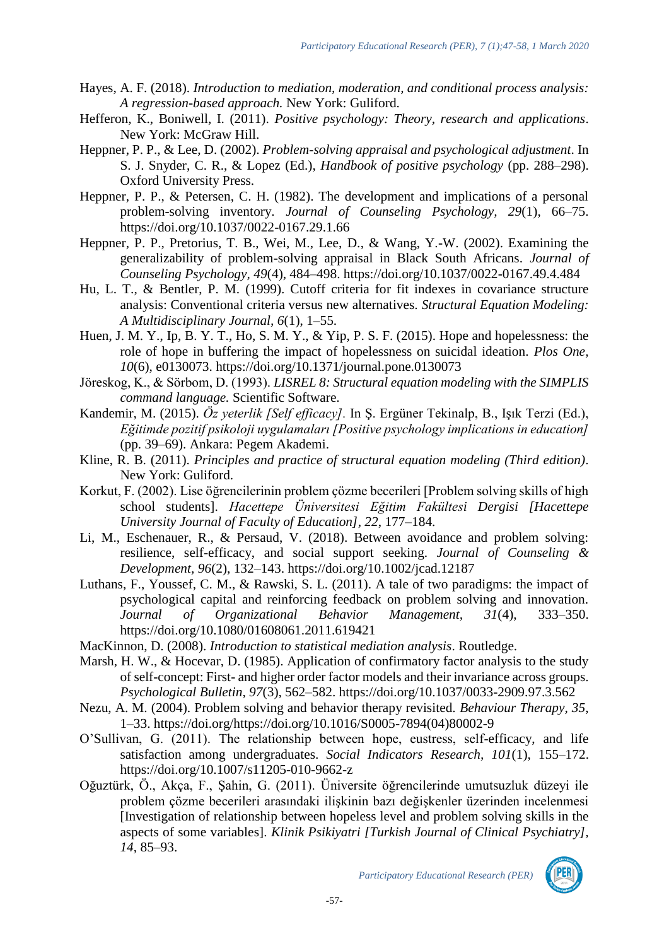- Hayes, A. F. (2018). *Introduction to mediation, moderation, and conditional process analysis: A regression-based approach.* New York: Guliford.
- Hefferon, K., Boniwell, I. (2011). *Positive psychology: Theory, research and applications*. New York: McGraw Hill.
- Heppner, P. P., & Lee, D. (2002). *Problem-solving appraisal and psychological adjustment*. In S. J. Snyder, C. R., & Lopez (Ed.), *Handbook of positive psychology* (pp. 288–298). Oxford University Press.
- Heppner, P. P., & Petersen, C. H. (1982). The development and implications of a personal problem-solving inventory. *Journal of Counseling Psychology, 29*(1), 66–75. https://doi.org/10.1037/0022-0167.29.1.66
- Heppner, P. P., Pretorius, T. B., Wei, M., Lee, D., & Wang, Y.-W. (2002). Examining the generalizability of problem-solving appraisal in Black South Africans. *Journal of Counseling Psychology, 49*(4), 484–498. https://doi.org/10.1037/0022-0167.49.4.484
- Hu, L. T., & Bentler, P. M. (1999). Cutoff criteria for fit indexes in covariance structure analysis: Conventional criteria versus new alternatives. *Structural Equation Modeling: A Multidisciplinary Journal, 6*(1), 1–55.
- Huen, J. M. Y., Ip, B. Y. T., Ho, S. M. Y., & Yip, P. S. F. (2015). Hope and hopelessness: the role of hope in buffering the impact of hopelessness on suicidal ideation*. Plos One, 10*(6), e0130073. https://doi.org/10.1371/journal.pone.0130073
- Jöreskog, K., & Sörbom, D. (1993). *LISREL 8: Structural equation modeling with the SIMPLIS command language.* Scientific Software.
- Kandemir, M. (2015). *Öz yeterlik [Self efficacy].* In Ş. Ergüner Tekinalp, B., Işık Terzi (Ed.), *Eğitimde pozitif psikoloji uygulamaları [Positive psychology implications in education]* (pp. 39–69). Ankara: Pegem Akademi.
- Kline, R. B. (2011). *Principles and practice of structural equation modeling (Third edition)*. New York: Guliford.
- Korkut, F. (2002). Lise öğrencilerinin problem çözme becerileri [Problem solving skills of high school students]. *Hacettepe Üniversitesi Eğitim Fakültesi Dergisi [Hacettepe University Journal of Faculty of Education], 22*, 177–184.
- Li, M., Eschenauer, R., & Persaud, V. (2018). Between avoidance and problem solving: resilience, self-efficacy, and social support seeking. *Journal of Counseling & Development, 96*(2), 132–143. https://doi.org/10.1002/jcad.12187
- Luthans, F., Youssef, C. M., & Rawski, S. L. (2011). A tale of two paradigms: the impact of psychological capital and reinforcing feedback on problem solving and innovation. *Journal of Organizational Behavior Management, 31*(4), 333–350. https://doi.org/10.1080/01608061.2011.619421
- MacKinnon, D. (2008). *Introduction to statistical mediation analysis*. Routledge.
- Marsh, H. W., & Hocevar, D. (1985). Application of confirmatory factor analysis to the study of self-concept: First- and higher order factor models and their invariance across groups. *Psychological Bulletin, 97*(3), 562–582. https://doi.org/10.1037/0033-2909.97.3.562
- Nezu, A. M. (2004). Problem solving and behavior therapy revisited. *Behaviour Therapy, 35*, 1–33. https://doi.org/https://doi.org/10.1016/S0005-7894(04)80002-9
- O'Sullivan, G. (2011). The relationship between hope, eustress, self-efficacy, and life satisfaction among undergraduates. *Social Indicators Research, 101*(1), 155–172. https://doi.org/10.1007/s11205-010-9662-z
- Oğuztürk, Ö., Akça, F., Şahin, G. (2011). Üniversite öğrencilerinde umutsuzluk düzeyi ile problem çözme becerileri arasındaki ilişkinin bazı değişkenler üzerinden incelenmesi [Investigation of relationship between hopeless level and problem solving skills in the aspects of some variables]. *Klinik Psikiyatri [Turkish Journal of Clinical Psychiatry], 14*, 85–93.